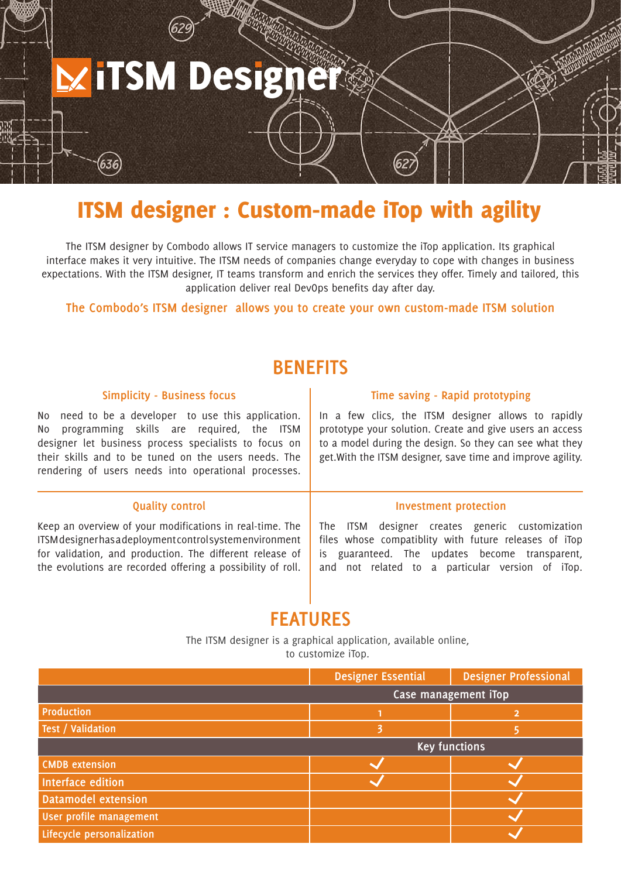# **ITSM Designer**

# ITSM designer : Custom-made iTop with agility

The ITSM designer by Combodo allows IT service managers to customize the iTop application. Its graphical interface makes it very intuitive. The ITSM needs of companies change everyday to cope with changes in business expectations. With the ITSM designer, IT teams transform and enrich the services they offer. Timely and tailored, this application deliver real DevOps benefits day after day.

**The Combodo's ITSM designer allows you to create your own custom-made ITSM solution**

# **BENEFITS**

#### **Simplicity - Business focus**

No need to be a developer to use this application. No programming skills are required, the ITSM designer let business process specialists to focus on their skills and to be tuned on the users needs. The rendering of users needs into operational processes.

#### **Time saving - Rapid prototyping**

In a few clics, the ITSM designer allows to rapidly prototype your solution. Create and give users an access to a model during the design. So they can see what they get.With the ITSM designer, save time and improve agility.

#### **Quality control Investment protection**

Keep an overview of your modifications in real-time. The ITSM designer has a deployment control system environment for validation, and production. The different release of the evolutions are recorded offering a possibility of roll.

The ITSM designer creates generic customization files whose compatiblity with future releases of iTop is guaranteed. The updates become transparent, and not related to a particular version of iTop.

## **FEATURES**

The ITSM designer is a graphical application, available online, to customize iTop.

|                            | <b>Designer Essential</b> | <b>Designer Professional</b> |
|----------------------------|---------------------------|------------------------------|
|                            | Case management iTop      |                              |
| <b>Production</b>          |                           |                              |
| Test / Validation          |                           |                              |
|                            | <b>Key functions</b>      |                              |
| <b>CMDB</b> extension      |                           |                              |
| Interface edition          |                           |                              |
| <b>Datamodel extension</b> |                           |                              |
| User profile management    |                           |                              |
| Lifecycle personalization  |                           |                              |